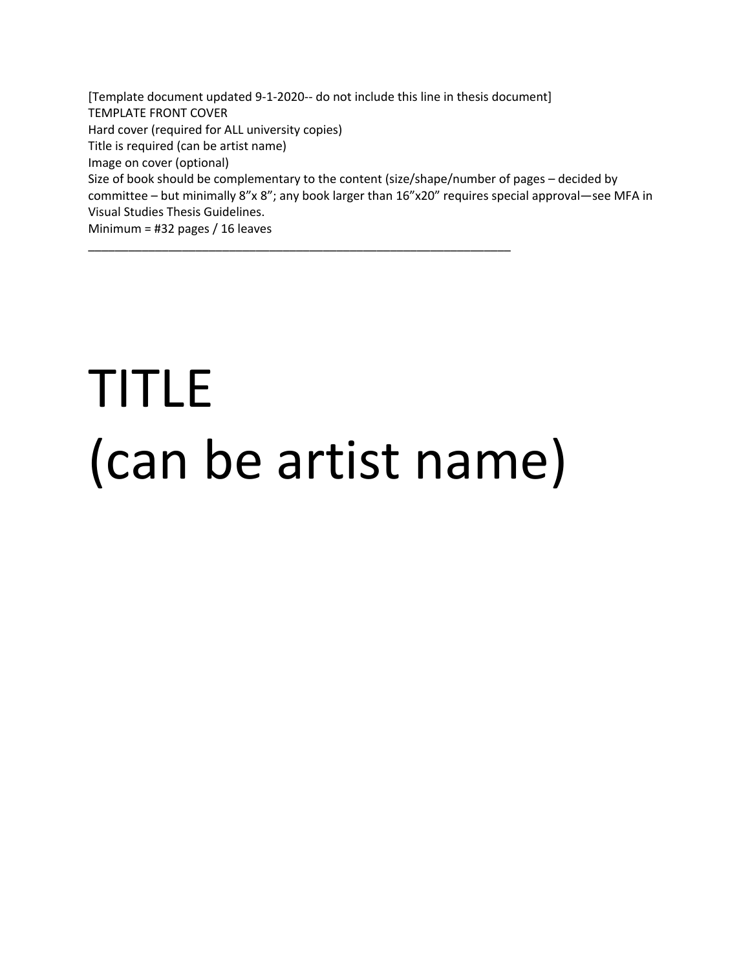[Template document updated 9-1-2020-- do not include this line in thesis document] TEMPLATE FRONT COVER Hard cover (required for ALL university copies) Title is required (can be artist name) Image on cover (optional) Size of book should be complementary to the content (size/shape/number of pages – decided by committee – but minimally 8"x 8"; any book larger than 16"x20" requires special approval—see MFA in Visual Studies Thesis Guidelines. Minimum = #32 pages / 16 leaves

# TITLE (can be artist name)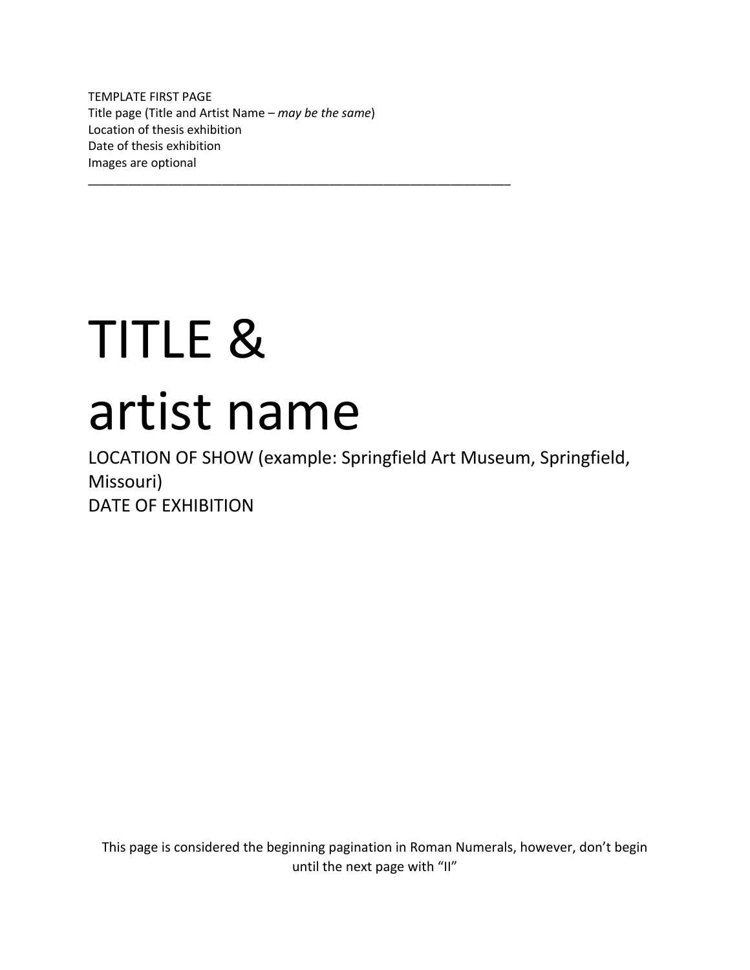TEMPLATE FIRST PAGE Title page (Title and Artist Name – *may be the same*) Location of thesis exhibition Date of thesis exhibition Images are optional

\_\_\_\_\_\_\_\_\_\_\_\_\_\_\_\_\_\_\_\_\_\_\_\_\_\_\_\_\_\_\_\_\_\_\_\_\_\_\_\_\_\_\_\_\_\_\_\_\_\_\_\_\_\_\_\_\_\_\_\_\_\_\_

# TITLE & artist name

LOCATION OF SHOW (example: Springfield Art Museum, Springfield, Missouri) DATE OF EXHIBITION

This page is considered the beginning pagination in Roman Numerals, however, don't begin until the next page with "II"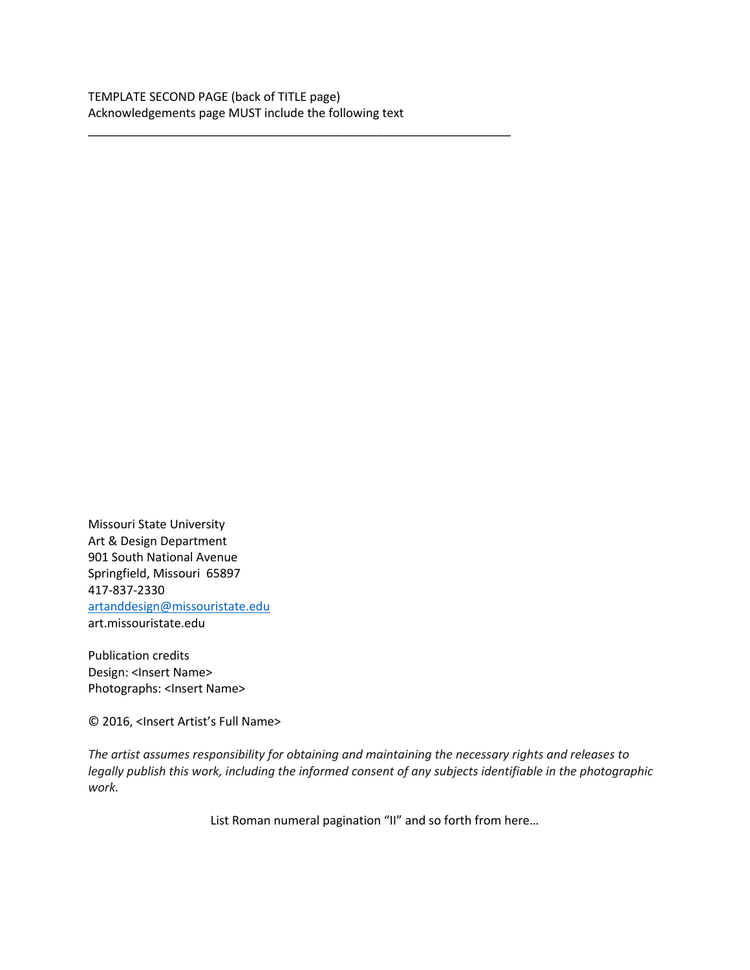\_\_\_\_\_\_\_\_\_\_\_\_\_\_\_\_\_\_\_\_\_\_\_\_\_\_\_\_\_\_\_\_\_\_\_\_\_\_\_\_\_\_\_\_\_\_\_\_\_\_\_\_\_\_\_\_\_\_\_\_\_\_\_

Missouri State University Art & Design Department 901 South National Avenue Springfield, Missouri 65897 417-837-2330 artanddesign@missouristate.edu art.missouristate.edu

Publication credits Design: <lnsert Name> Photographs: <Insert Name>

© 2016, <Insert Artist's Full Name>

*The artist assumes responsibility for obtaining and maintaining the necessary rights and releases to legally publish this work, including the informed consent of any subjects identifiable in the photographic work.*

List Roman numeral pagination "II" and so forth from here…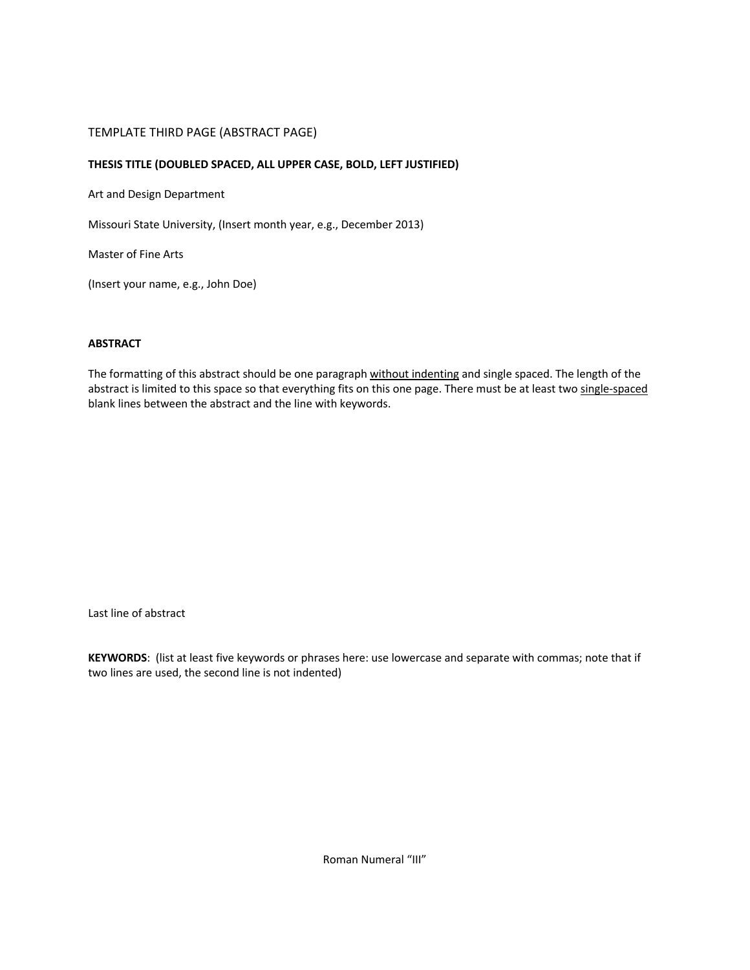## TEMPLATE THIRD PAGE (ABSTRACT PAGE)

### **THESIS TITLE (DOUBLED SPACED, ALL UPPER CASE, BOLD, LEFT JUSTIFIED)**

Art and Design Department

Missouri State University, (Insert month year, e.g., December 2013)

Master of Fine Arts

(Insert your name, e.g., John Doe)

# **ABSTRACT**

The formatting of this abstract should be one paragraph without indenting and single spaced. The length of the abstract is limited to this space so that everything fits on this one page. There must be at least two single-spaced blank lines between the abstract and the line with keywords.

Last line of abstract

**KEYWORDS**: (list at least five keywords or phrases here: use lowercase and separate with commas; note that if two lines are used, the second line is not indented)

Roman Numeral "III"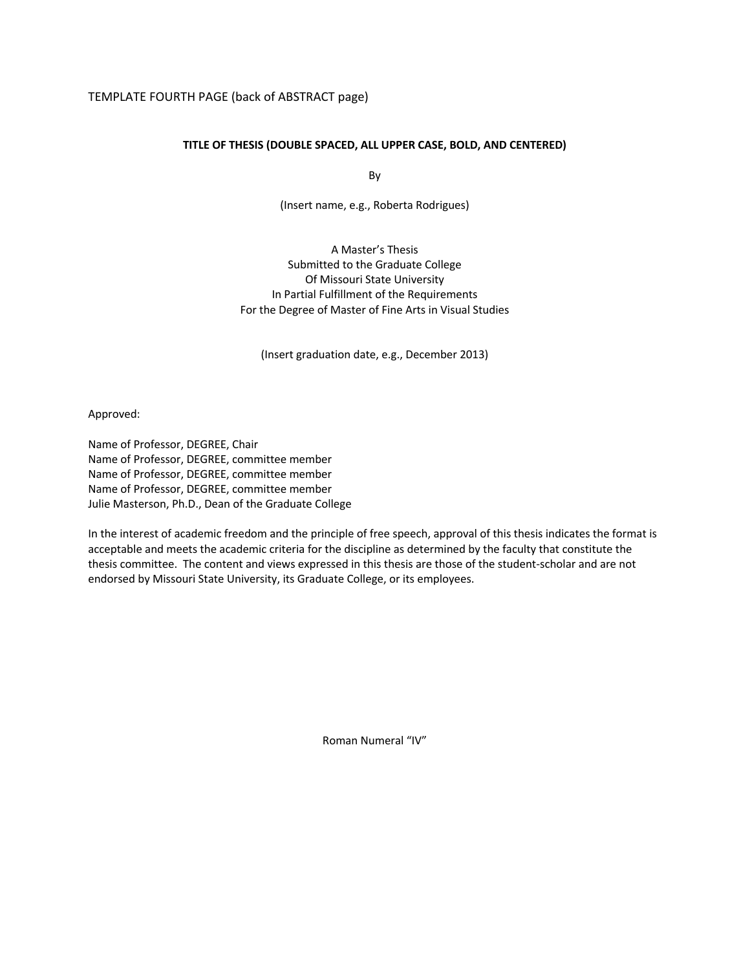### TEMPLATE FOURTH PAGE (back of ABSTRACT page)

### **TITLE OF THESIS (DOUBLE SPACED, ALL UPPER CASE, BOLD, AND CENTERED)**

By

(Insert name, e.g., Roberta Rodrigues)

A Master's Thesis Submitted to the Graduate College Of Missouri State University In Partial Fulfillment of the Requirements For the Degree of Master of Fine Arts in Visual Studies

(Insert graduation date, e.g., December 2013)

Approved:

Name of Professor, DEGREE, Chair Name of Professor, DEGREE, committee member Name of Professor, DEGREE, committee member Name of Professor, DEGREE, committee member Julie Masterson, Ph.D., Dean of the Graduate College

In the interest of academic freedom and the principle of free speech, approval of this thesis indicates the format is acceptable and meets the academic criteria for the discipline as determined by the faculty that constitute the thesis committee. The content and views expressed in this thesis are those of the student-scholar and are not endorsed by Missouri State University, its Graduate College, or its employees.

Roman Numeral "IV"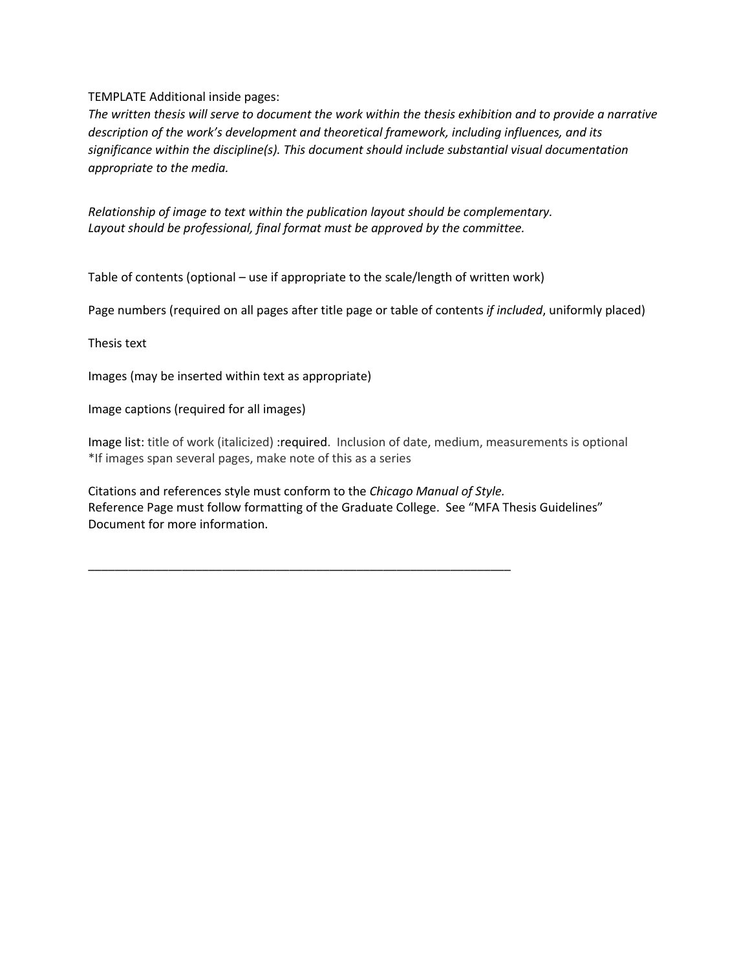# TEMPLATE Additional inside pages:

*The written thesis will serve to document the work within the thesis exhibition and to provide a narrative description of the work's development and theoretical framework, including influences, and its significance within the discipline(s). This document should include substantial visual documentation appropriate to the media.* 

*Relationship of image to text within the publication layout should be complementary. Layout should be professional, final format must be approved by the committee.*

Table of contents (optional – use if appropriate to the scale/length of written work)

Page numbers (required on all pages after title page or table of contents *if included*, uniformly placed)

Thesis text

Images (may be inserted within text as appropriate)

Image captions (required for all images)

Image list: title of work (italicized) :required. Inclusion of date, medium, measurements is optional \*If images span several pages, make note of this as a series

Citations and references style must conform to the *Chicago Manual of Style.* Reference Page must follow formatting of the Graduate College. See "MFA Thesis Guidelines" Document for more information.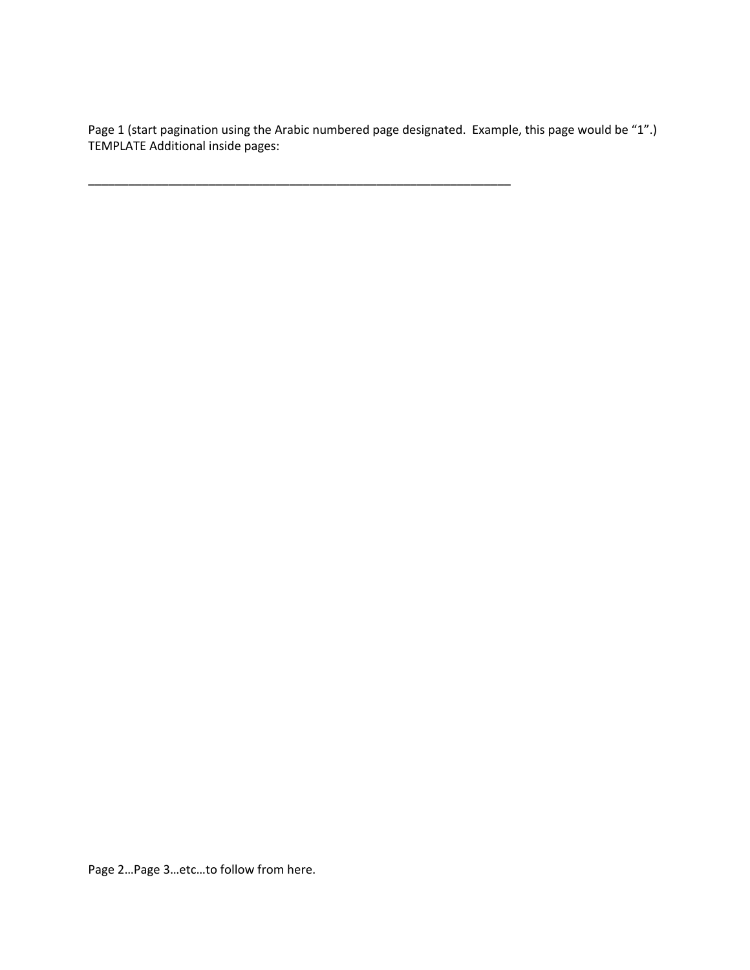Page 1 (start pagination using the Arabic numbered page designated. Example, this page would be "1".) TEMPLATE Additional inside pages:

\_\_\_\_\_\_\_\_\_\_\_\_\_\_\_\_\_\_\_\_\_\_\_\_\_\_\_\_\_\_\_\_\_\_\_\_\_\_\_\_\_\_\_\_\_\_\_\_\_\_\_\_\_\_\_\_\_\_\_\_\_\_\_

Page 2…Page 3…etc…to follow from here.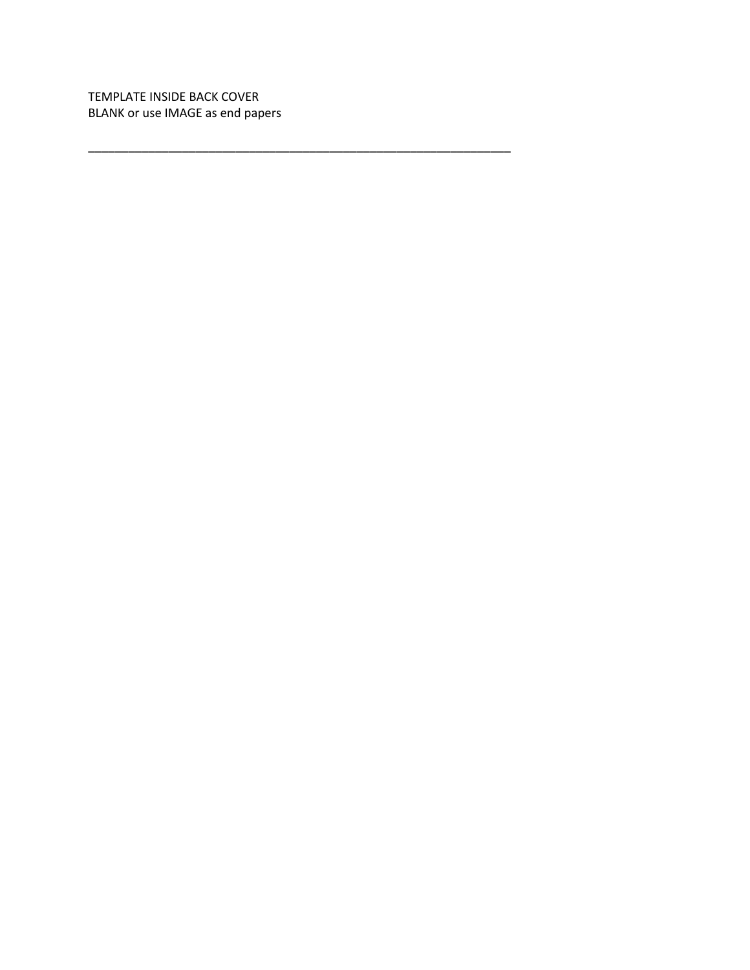TEMPLATE INSIDE BACK COVER BLANK or use IMAGE as end papers